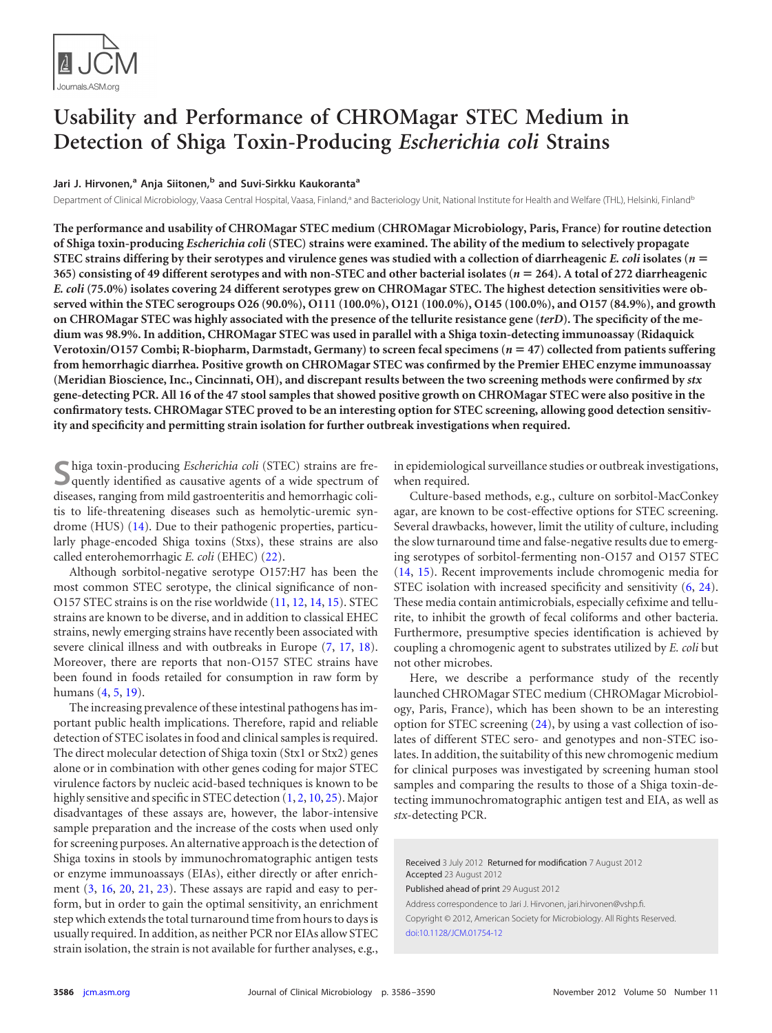

# <span id="page-0-0"></span>**Usability and Performance of CHROMagar STEC Medium in Detection of Shiga Toxin-Producing** *Escherichia coli* **Strains**

### **Jari J. Hirvonen, <sup>a</sup> Anja Siitonen, <sup>b</sup> and Suvi-Sirkku Kaukorantaa**

Department of Clinical Microbiology, Vaasa Central Hospital, Vaasa, Finland,<sup>a</sup> and Bacteriology Unit, National Institute for Health and Welfare (THL), Helsinki, Finland<sup>b</sup>

**The performance and usability of CHROMagar STEC medium (CHROMagar Microbiology, Paris, France) for routine detection of Shiga toxin-producing** *Escherichia coli* **(STEC) strains were examined. The ability of the medium to selectively propagate STEC strains differing by their serotypes and virulence genes was studied with a collection of diarrheagenic** *E. coli* **isolates (***n* **365) consisting of 49 different serotypes and with non-STEC and other bacterial isolates (***n* **264). A total of 272 diarrheagenic** *E. coli* **(75.0%) isolates covering 24 different serotypes grew on CHROMagar STEC. The highest detection sensitivities were observed within the STEC serogroups O26 (90.0%), O111 (100.0%), O121 (100.0%), O145 (100.0%), and O157 (84.9%), and growth on CHROMagar STEC was highly associated with the presence of the tellurite resistance gene (***terD***). The specificity of the medium was 98.9%. In addition, CHROMagar STEC was used in parallel with a Shiga toxin-detecting immunoassay (Ridaquick Verotoxin/O157 Combi; R-biopharm, Darmstadt, Germany) to screen fecal specimens (***n* **47) collected from patients suffering from hemorrhagic diarrhea. Positive growth on CHROMagar STEC was confirmed by the Premier EHEC enzyme immunoassay (Meridian Bioscience, Inc., Cincinnati, OH), and discrepant results between the two screening methods were confirmed by** *stx* **gene-detecting PCR. All 16 of the 47 stool samples that showed positive growth on CHROMagar STEC were also positive in the confirmatory tests. CHROMagar STEC proved to be an interesting option for STEC screening, allowing good detection sensitivity and specificity and permitting strain isolation for further outbreak investigations when required.**

**S**higa toxin-producing *Escherichia coli* (STEC) strains are frequently identified as causative agents of a wide spectrum of diseases, ranging from mild gastroenteritis and hemorrhagic colitis to life-threatening diseases such as hemolytic-uremic syndrome (HUS) [\(14\)](#page-4-0). Due to their pathogenic properties, particularly phage-encoded Shiga toxins (Stxs), these strains are also called enterohemorrhagic *E. coli* (EHEC) [\(22\)](#page-4-1).

Although sorbitol-negative serotype O157:H7 has been the most common STEC serotype, the clinical significance of non-O157 STEC strains is on the rise worldwide [\(11,](#page-4-2) [12,](#page-4-3) [14,](#page-4-0) [15\)](#page-4-4). STEC strains are known to be diverse, and in addition to classical EHEC strains, newly emerging strains have recently been associated with severe clinical illness and with outbreaks in Europe [\(7,](#page-4-5) [17,](#page-4-6) [18\)](#page-4-7). Moreover, there are reports that non-O157 STEC strains have been found in foods retailed for consumption in raw form by humans [\(4,](#page-4-8) [5,](#page-4-9) [19\)](#page-4-10).

The increasing prevalence of these intestinal pathogens has important public health implications. Therefore, rapid and reliable detection of STEC isolates in food and clinical samples is required. The direct molecular detection of Shiga toxin (Stx1 or Stx2) genes alone or in combination with other genes coding for major STEC virulence factors by nucleic acid-based techniques is known to be highly sensitive and specific in STEC detection [\(1,](#page-4-11) [2,](#page-4-12) [10,](#page-4-13) [25\)](#page-4-14). Major disadvantages of these assays are, however, the labor-intensive sample preparation and the increase of the costs when used only for screening purposes. An alternative approach is the detection of Shiga toxins in stools by immunochromatographic antigen tests or enzyme immunoassays (EIAs), either directly or after enrichment [\(3,](#page-4-15) [16,](#page-4-16) [20,](#page-4-17) [21,](#page-4-18) [23\)](#page-4-19). These assays are rapid and easy to perform, but in order to gain the optimal sensitivity, an enrichment step which extends the total turnaround time from hours to days is usually required. In addition, as neither PCR nor EIAs allow STEC strain isolation, the strain is not available for further analyses, e.g.,

in epidemiological surveillance studies or outbreak investigations, when required.

Culture-based methods, e.g., culture on sorbitol-MacConkey agar, are known to be cost-effective options for STEC screening. Several drawbacks, however, limit the utility of culture, including the slow turnaround time and false-negative results due to emerging serotypes of sorbitol-fermenting non-O157 and O157 STEC [\(14,](#page-4-0) [15\)](#page-4-4). Recent improvements include chromogenic media for STEC isolation with increased specificity and sensitivity [\(6,](#page-4-20) [24\)](#page-4-21). These media contain antimicrobials, especially cefixime and tellurite, to inhibit the growth of fecal coliforms and other bacteria. Furthermore, presumptive species identification is achieved by coupling a chromogenic agent to substrates utilized by *E. coli* but not other microbes.

Here, we describe a performance study of the recently launched CHROMagar STEC medium (CHROMagar Microbiology, Paris, France), which has been shown to be an interesting option for STEC screening [\(24\)](#page-4-21), by using a vast collection of isolates of different STEC sero- and genotypes and non-STEC isolates. In addition, the suitability of this new chromogenic medium for clinical purposes was investigated by screening human stool samples and comparing the results to those of a Shiga toxin-detecting immunochromatographic antigen test and EIA, as well as *stx*-detecting PCR.

Received 3 July 2012 Returned for modification 7 August 2012 Accepted 23 August 2012

Published ahead of print 29 August 2012

Address correspondence to Jari J. Hirvonen, jari.hirvonen@vshp.fi. Copyright © 2012, American Society for Microbiology. All Rights Reserved. [doi:10.1128/JCM.01754-12](http://dx.doi.org/10.1128/JCM.01754-12)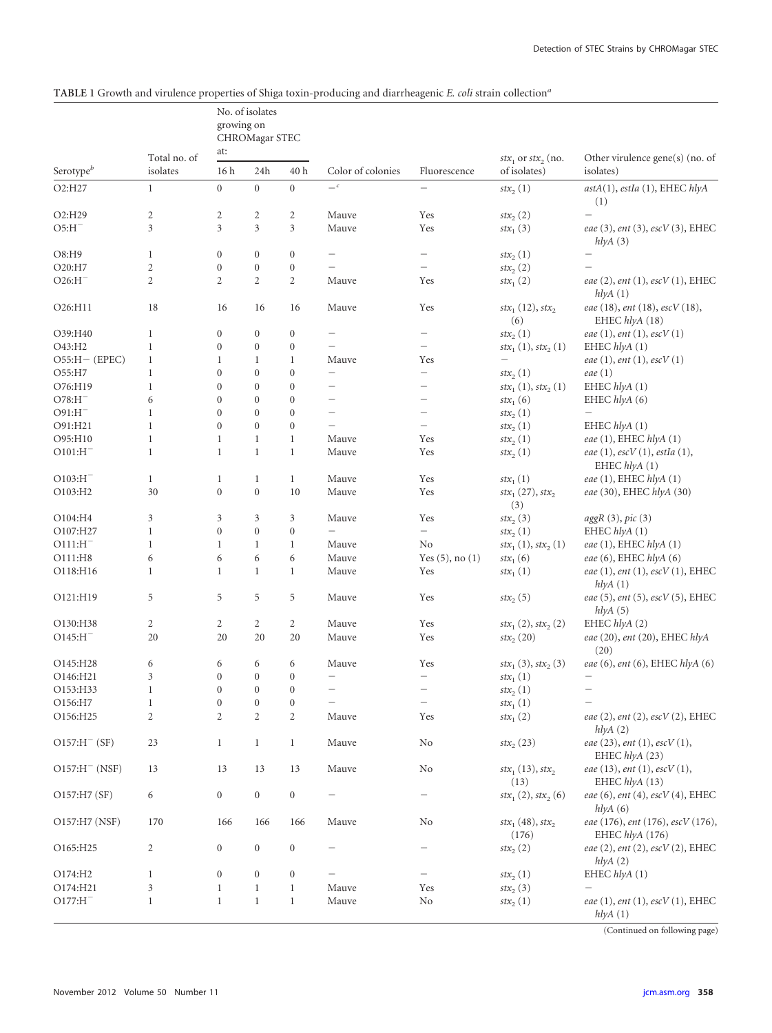## **TABLE 1** Growth and virulence properties of Shiga toxin-producing and diarrheagenic *E. coli* strain collection*<sup>a</sup>*

|                       | Total no. of<br>isolates | growing on             | No. of isolates<br>CHROMagar STEC |                  | Color of colonies        |                          |                                                    | Other virulence gene(s) (no. of<br>isolates)             |  |
|-----------------------|--------------------------|------------------------|-----------------------------------|------------------|--------------------------|--------------------------|----------------------------------------------------|----------------------------------------------------------|--|
| Serotype <sup>b</sup> |                          | at:<br>16 <sub>h</sub> | 24h                               | 40h              |                          | Fluorescence             | $stx_1$ or $stx_2$ (no.<br>of isolates)            |                                                          |  |
| O2:H27                | $\mathbf{1}$             | $\boldsymbol{0}$       | $\boldsymbol{0}$                  | $\overline{0}$   | $\mathcal{L}$            | $\overline{\phantom{m}}$ | $\text{str}_{2}(1)$                                | astA(1), estIa(1), EHEC hlyA<br>(1)                      |  |
| O2:H29                | $\overline{c}$           | 2                      | $\overline{c}$                    | $\overline{c}$   | Mauve                    | Yes                      | $\text{str}_{2}(2)$                                | $\qquad \qquad -$                                        |  |
| $O5: H^-$             | 3                        | 3                      | $\overline{3}$                    | 3                | Mauve                    | Yes                      | $stx_1(3)$                                         | eae (3), ent (3), escV (3), EHEC<br>hlyA(3)              |  |
| O8:H9                 | $\mathbf{1}$             | $\boldsymbol{0}$       | $\boldsymbol{0}$                  | $\boldsymbol{0}$ | $\overline{\phantom{m}}$ | $\overline{\phantom{m}}$ | $\text{str}_{2}(1)$                                | $\overline{\phantom{m}}$                                 |  |
| O20:H7                | $\overline{c}$           | $\overline{0}$         | $\boldsymbol{0}$                  | $\mathbf{0}$     | $\overline{\phantom{0}}$ | $\overline{\phantom{m}}$ | $\text{str}_{2}\left(2\right)$                     |                                                          |  |
| $O26:H^-$             | $\overline{2}$           | $\overline{2}$         | $\overline{2}$                    | $\overline{c}$   | Mauve                    | Yes                      | $\text{str}_{1}(2)$                                | eae (2), ent (1), escV (1), EHEC<br>h l y A(1)           |  |
| O26:H11               | 18                       | 16                     | 16                                | 16               | Mauve                    | Yes                      | $\text{str}_{1}(12), \text{str}_{2}$<br>(6)        | eae (18), ent (18), escV (18),<br>EHEC hlyA (18)         |  |
| O39:H40               | $\mathbf{1}$             | $\boldsymbol{0}$       | $\boldsymbol{0}$                  | $\boldsymbol{0}$ | $\qquad \qquad -$        | $\overline{\phantom{0}}$ | $\ensuremath{\textit{st}} x\ensuremath{_{2}}\ (1)$ | eae $(1)$ , ent $(1)$ , esc $V(1)$                       |  |
| O43:H2                | $\mathbf{1}$             | $\mathbf{0}$           | $\mathbf{0}$                      | $\mathbf{0}$     | $\overline{\phantom{0}}$ | $\overline{\phantom{m}}$ | $f(x_1(1), f(x_2(1))$                              | EHEC hlyA (1)                                            |  |
| $O55:H - (EPEC)$      | $\mathbf{1}$             | 1                      | $\mathbf{1}$                      | $\mathbf{1}$     | Mauve                    | Yes                      | $\overline{\phantom{0}}$                           | eae $(1)$ , ent $(1)$ , esc $V(1)$                       |  |
| O55:H7                | $\mathbf{1}$             | $\boldsymbol{0}$       | $\overline{0}$                    | $\boldsymbol{0}$ | $\overline{\phantom{0}}$ | $\overline{\phantom{m}}$ | $\text{str}_{2}(1)$                                | eae $(1)$                                                |  |
| O76:H19               | $\mathbf{1}$             | $\mathbf{0}$           | $\overline{0}$                    | $\mathbf{0}$     |                          |                          | $f(x_1(1), f(x_2(1))$                              | EHEC hlyA (1)                                            |  |
| $O78: H^-$            | 6                        | $\mathbf{0}$           | $\boldsymbol{0}$                  | $\mathbf{0}$     | $\overline{\phantom{0}}$ |                          | $stx_1(6)$                                         | EHEC hlyA (6)                                            |  |
| $O91:H^-$             | $\mathbf{1}$             | $\mathbf{0}$           | $\overline{0}$                    | $\mathbf{0}$     |                          | $\overline{\phantom{0}}$ | $\text{str}_{2}(1)$                                | $\qquad \qquad -$                                        |  |
| O91:H21               | $\mathbf{1}$             | $\mathbf{0}$           | $\theta$                          | $\mathbf{0}$     | $\overline{\phantom{0}}$ | $\overline{\phantom{m}}$ | $\text{str}_{2}(1)$                                | EHEC hlyA (1)                                            |  |
| O95:H10               | $\mathbf{1}$             | 1                      | $\mathbf{1}$                      | $\mathbf{1}$     | Mauve                    | Yes                      | $\text{str}_{2}(1)$                                | eae (1), EHEC hlyA (1)                                   |  |
| $O101:H^-$            | $\mathbf{1}$             | $\mathbf{1}$           | $\mathbf{1}$                      | $\mathbf{1}$     | Mauve                    | Yes                      | $\text{str}_{2}(1)$                                | eae $(1)$ , esc $V(1)$ , estIa $(1)$ ,<br>EHEC $hlyA(1)$ |  |
| $O103: H^-$           | $\mathbf{1}$             | 1                      | $\mathbf{1}$                      | $\mathbf{1}$     | Mauve                    | Yes                      | $stx_1(1)$                                         | eae (1), EHEC hlyA (1)                                   |  |
| O103:H2               | 30                       | $\mathbf{0}$           | $\overline{0}$                    | 10               | Mauve                    | Yes                      | $\text{str}_{1}(27), \text{str}_{2}$<br>(3)        | eae (30), EHEC hlyA (30)                                 |  |
| O104:H4               | 3                        | 3                      | 3                                 | 3                | Mauve                    | Yes                      | $\text{str}_{2}(3)$                                | aggR(3), pic(3)                                          |  |
| O107:H27              | $\mathbf{1}$             | $\mathbf{0}$           | $\mathbf{0}$                      | $\boldsymbol{0}$ | $\overline{\phantom{0}}$ | $\overline{\phantom{0}}$ | $\text{str}_{2}(1)$                                | EHEC $hlyA(1)$                                           |  |
| $O111:H^-$            | $\mathbf{1}$             | 1                      | $\mathbf{1}$                      | $\mathbf{1}$     | Mauve                    | No                       | $stx_1(1), stx_2(1)$                               | eae (1), EHEC hlyA (1)                                   |  |
| O111:H8               | 6                        | 6                      | 6                                 | 6                | Mauve                    | Yes $(5)$ , no $(1)$     | $stx_1(6)$                                         | eae (6), EHEC hlyA (6)                                   |  |
| O118:H16              | $\mathbf{1}$             | 1                      | $\mathbf{1}$                      | $\mathbf{1}$     | Mauve                    | Yes                      | $stx_1(1)$                                         | eae $(1)$ , ent $(1)$ , esc $V(1)$ , EHEC<br>h l y A(1)  |  |
| O121:H19              | 5                        | 5                      | 5                                 | 5                | Mauve                    | Yes                      | $\text{str}_{2}(5)$                                | eae (5), ent (5), escV (5), EHEC<br>hlyA(5)              |  |
| O130:H38              | 2                        | 2                      | 2                                 | 2                | Mauve                    | Yes                      | $stx_1(2), stx_2(2)$                               | EHEC hlyA (2)                                            |  |
| $O145:HI^-$           | 20                       | 20                     | 20                                | 20               | Mauve                    | Yes                      | $\ensuremath{\textit{st}} x\ensuremath{_{2}}$ (20) | eae (20), ent (20), EHEC hlyA<br>(20)                    |  |
| O145:H28              | 6                        | 6                      | 6                                 | 6                | Mauve                    | Yes                      | $stx_1(3), stx_2(3)$                               | eae (6), ent (6), EHEC hlyA (6)                          |  |
| O146:H21              | 3                        | $\boldsymbol{0}$       | $\boldsymbol{0}$                  | $\mathbf{0}$     | $\overline{\phantom{0}}$ |                          | $stx_1(1)$                                         | $\overline{\phantom{0}}$                                 |  |
| O153:H33              | $\mathbf{1}$             | $\mathbf{0}$           | $\mathbf{0}$                      | $\boldsymbol{0}$ | $\qquad \qquad -$        | $\overline{\phantom{m}}$ | $\text{str}_{2}(1)$                                | $\overbrace{\phantom{1232211}}$                          |  |
| O156:H7               | $\mathbf{1}$             | $\boldsymbol{0}$       | $\boldsymbol{0}$                  | $\boldsymbol{0}$ | $\overline{\phantom{0}}$ | $\overline{\phantom{a}}$ | $\mathit{stx}_1\left(1\right)$                     |                                                          |  |
| O156:H25              | $\overline{c}$           | 2                      | $\mathbf{2}$                      | $\mathbf{2}$     | Mauve                    | Yes                      | $\text{str}_{1}(2)$                                | eae (2), ent (2), escV (2), EHEC<br>hlyA(2)              |  |
| $O157: H^- (SF)$      | 23                       | $\mathbf{1}$           | $\mathbf{1}$                      | $\mathbf{1}$     | Mauve                    | No                       | $\text{str}_{2}(23)$                               | eae $(23)$ , ent $(1)$ , esc $V(1)$ ,<br>EHEC hlyA (23)  |  |
| $O157: H^- (NSF)$     | 13                       | 13                     | 13                                | 13               | Mauve                    | No                       | $stx_1(13), stx_2$<br>(13)                         | eae $(13)$ , ent $(1)$ , esc $V(1)$ ,<br>EHEC hlyA (13)  |  |
| O157:H7 (SF)          | 6                        | $\overline{0}$         | $\boldsymbol{0}$                  | $\boldsymbol{0}$ |                          |                          | $\text{str}_{1}(2), \text{str}_{2}(6)$             | eae $(6)$ , ent $(4)$ , esc $V(4)$ , EHEC<br>hlyA(6)     |  |
| O157:H7 (NSF)         | 170                      | 166                    | 166                               | 166              | Mauve                    | No                       | $\text{str}_{1}(48), \text{str}_{2}$<br>(176)      | eae (176), ent (176), escV (176),<br>EHEC hlyA (176)     |  |
| O165:H25              | $\overline{c}$           | $\overline{0}$         | $\boldsymbol{0}$                  | $\boldsymbol{0}$ |                          | $\overline{\phantom{m}}$ | $\text{str}_{2}(2)$                                | eae (2), ent (2), escV (2), EHEC<br>hlyA(2)              |  |
| O174:H2               | 1                        | $\overline{0}$         | $\boldsymbol{0}$                  | $\boldsymbol{0}$ |                          |                          | $\text{str}_{2}(1)$                                | EHEC $hlyA(1)$                                           |  |
| O174:H21              | 3                        | $\mathbf{1}$           | $\mathbf{1}$                      | $\mathbf{1}$     | Mauve                    | Yes                      | $\text{str}_{2}(3)$                                | $\overline{\phantom{0}}$                                 |  |
| $O177: H^-$           | $\mathbf{1}$             | $\mathbf{1}$           | $\mathbf{1}$                      | $\mathbf{1}$     | Mauve                    | No                       | $\text{str}_{2}(1)$                                | eae (1), ent (1), escV (1), EHEC<br>hlyA(1)              |  |

(Continued on following page)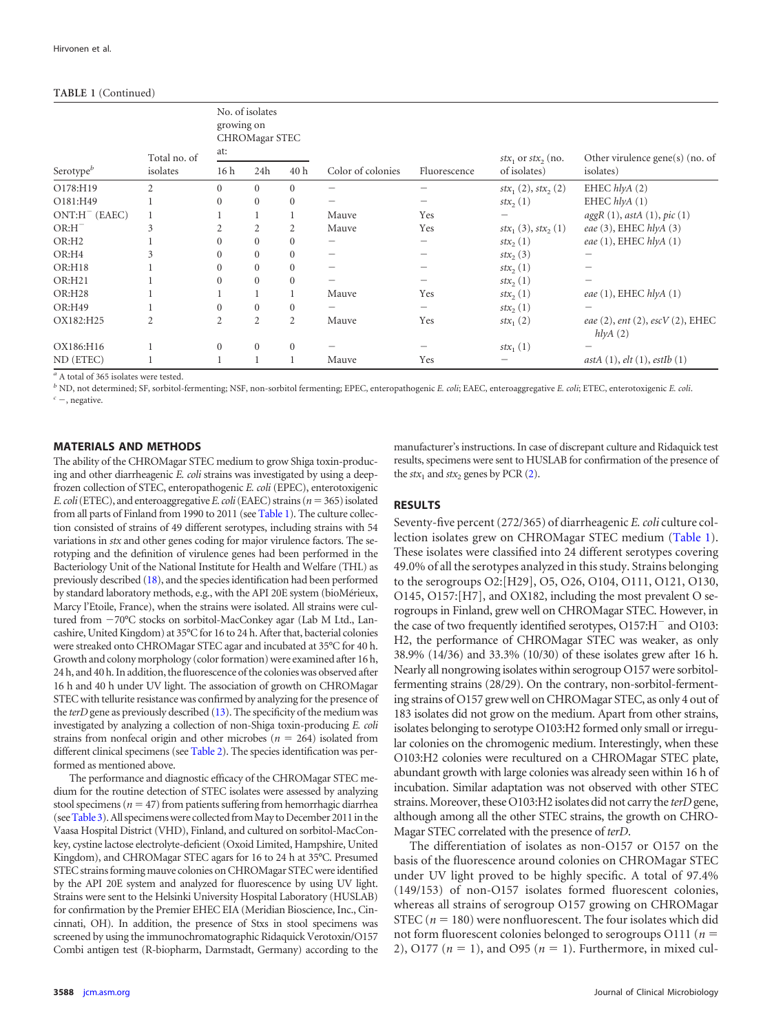#### **TABLE 1** (Continued)

| Serotype $\mathfrak{b}$ | Total no. of<br>isolates | No. of isolates<br>growing on<br>CHROMagar STEC<br>at: |                |                |                   |              | $stx_1$ or $stx_2$ (no. | Other virulence gene(s) (no. of                         |
|-------------------------|--------------------------|--------------------------------------------------------|----------------|----------------|-------------------|--------------|-------------------------|---------------------------------------------------------|
|                         |                          | 16h                                                    | 24h            | 40h            | Color of colonies | Fluorescence | of isolates)            | isolates)                                               |
| O178:H19                | $\overline{2}$           | $\Omega$                                               | $\Omega$       | $\Omega$       | -                 |              | $stx_1(2), stx_2(2)$    | EHEC $hlyA(2)$                                          |
| O181:H49                |                          | $\mathbf{0}$                                           | $\mathbf{0}$   | $\mathbf{0}$   |                   |              | $\text{str}_{2}(1)$     | EHEC $hlyA(1)$                                          |
| $ONT:H^-$ (EAEC)        |                          |                                                        |                |                | Mauve             | Yes          |                         | aggR(1), astA(1), pic(1)                                |
| $OR:H^-$                | 3                        | 2                                                      | 2              | 2              | Mauve             | Yes          | $stx_1(3), stx_2(1)$    | eae $(3)$ , EHEC $hlyA(3)$                              |
| OR:H <sub>2</sub>       |                          | $\Omega$                                               | $\Omega$       | $\Omega$       | -                 |              | $\text{str}_{2}(1)$     | eae $(1)$ , EHEC $hlyA(1)$                              |
| OR:H4                   | 3                        | $\Omega$                                               | $\Omega$       | $\Omega$       | -                 |              | $\text{str}_{2}(3)$     |                                                         |
| <b>OR:H18</b>           |                          | $\mathbf{0}$                                           | $\Omega$       | $\Omega$       | -                 |              | $\text{str}_{2}(1)$     |                                                         |
| <b>OR:H21</b>           |                          | $\mathbf{0}$                                           | $\Omega$       | $\Omega$       |                   |              | $\text{str}_{2}(1)$     |                                                         |
| OR:H28                  |                          |                                                        |                |                | Mauve             | Yes          | $\text{str}_{2}(1)$     | eae $(1)$ , EHEC $hlyA(1)$                              |
| OR:H49                  |                          | $\overline{0}$                                         | $\mathbf{0}$   | $\mathbf{0}$   | -                 |              | $\text{str}_{2}(1)$     |                                                         |
| OX182:H25               | $\overline{c}$           | $\overline{2}$                                         | $\overline{2}$ | $\overline{2}$ | Mauve             | Yes          | $stx_1(2)$              | eae $(2)$ , ent $(2)$ , escV $(2)$ , EHEC<br>h l y A(2) |
| OX186:H16               |                          | $\mathbf{0}$                                           | $\mathbf{0}$   | $\mathbf{0}$   |                   |              | $stx_1(1)$              |                                                         |
| ND (ETEC)               |                          |                                                        |                |                | Mauve             | Yes          |                         | astA(1), elt(1), estIb(1)                               |

*<sup>a</sup>* A total of 365 isolates were tested.

*<sup>b</sup>* ND, not determined; SF, sorbitol-fermenting; NSF, non-sorbitol fermenting; EPEC, enteropathogenic *E. coli*; EAEC, enteroaggregative *E. coli*; ETEC, enterotoxigenic *E. coli*.  $c$  –, negative.

#### **MATERIALS AND METHODS**

The ability of the CHROMagar STEC medium to grow Shiga toxin-producing and other diarrheagenic *E. coli* strains was investigated by using a deepfrozen collection of STEC, enteropathogenic *E. coli* (EPEC), enterotoxigenic *E. coli*(ETEC), and enteroaggregative*E. coli*(EAEC) strains (*n*-365)isolated from all parts of Finland from 1990 to 2011 (see [Table 1\)](#page-0-0). The culture collection consisted of strains of 49 different serotypes, including strains with 54 variations in *stx* and other genes coding for major virulence factors. The serotyping and the definition of virulence genes had been performed in the Bacteriology Unit of the National Institute for Health and Welfare (THL) as previously described [\(18\)](#page-4-7), and the species identification had been performed by standard laboratory methods, e.g., with the API 20E system (bioMérieux, Marcy l'Etoile, France), when the strains were isolated. All strains were cultured from  $-70^{\circ}$ C stocks on sorbitol-MacConkey agar (Lab M Ltd., Lancashire, United Kingdom) at 35°C for 16 to 24 h. After that, bacterial colonies were streaked onto CHROMagar STEC agar and incubated at 35°C for 40 h. Growth and colony morphology (color formation) were examined after 16 h, 24 h, and 40 h. In addition, the fluorescence of the colonies was observed after 16 h and 40 h under UV light. The association of growth on CHROMagar STEC with tellurite resistance was confirmed by analyzing for the presence of the *terD* gene as previously described [\(13\)](#page-4-22). The specificity of the medium was investigated by analyzing a collection of non-Shiga toxin-producing *E. coli* strains from nonfecal origin and other microbes ( $n = 264$ ) isolated from different clinical specimens (see [Table 2\)](#page-3-0). The species identification was performed as mentioned above.

The performance and diagnostic efficacy of the CHROMagar STEC medium for the routine detection of STEC isolates were assessed by analyzing stool specimens ( $n = 47$ ) from patients suffering from hemorrhagic diarrhea (see Table 3). All specimens were collected from May to December 2011 in the Vaasa Hospital District (VHD), Finland, and cultured on sorbitol-MacConkey, cystine lactose electrolyte-deficient (Oxoid Limited, Hampshire, United Kingdom), and CHROMagar STEC agars for 16 to 24 h at 35°C. Presumed STEC strains forming mauve colonies on CHROMagar STEC were identified by the API 20E system and analyzed for fluorescence by using UV light. Strains were sent to the Helsinki University Hospital Laboratory (HUSLAB) for confirmation by the Premier EHEC EIA (Meridian Bioscience, Inc., Cincinnati, OH). In addition, the presence of Stxs in stool specimens was screened by using the immunochromatographic Ridaquick Verotoxin/O157 Combi antigen test (R-biopharm, Darmstadt, Germany) according to the

manufacturer's instructions. In case of discrepant culture and Ridaquick test results, specimens were sent to HUSLAB for confirmation of the presence of the  $stx_1$  and  $stx_2$  genes by PCR [\(2\)](#page-4-12).

#### **RESULTS**

Seventy-five percent (272/365) of diarrheagenic *E. coli* culture collection isolates grew on CHROMagar STEC medium [\(Table 1\)](#page-0-0). These isolates were classified into 24 different serotypes covering 49.0% of all the serotypes analyzed in this study. Strains belonging to the serogroups O2:[H29], O5, O26, O104, O111, O121, O130, O145, O157:[H7], and OX182, including the most prevalent O serogroups in Finland, grew well on CHROMagar STEC. However, in the case of two frequently identified serotypes,  $O157:H^-$  and  $O103$ : H2, the performance of CHROMagar STEC was weaker, as only 38.9% (14/36) and 33.3% (10/30) of these isolates grew after 16 h. Nearly all nongrowing isolates within serogroup O157 were sorbitolfermenting strains (28/29). On the contrary, non-sorbitol-fermenting strains of O157 grew well on CHROMagar STEC, as only 4 out of 183 isolates did not grow on the medium. Apart from other strains, isolates belonging to serotype O103:H2 formed only small or irregular colonies on the chromogenic medium. Interestingly, when these O103:H2 colonies were recultured on a CHROMagar STEC plate, abundant growth with large colonies was already seen within 16 h of incubation. Similar adaptation was not observed with other STEC strains. Moreover, these O103:H2 isolates did not carry the *terD* gene, although among all the other STEC strains, the growth on CHRO-Magar STEC correlated with the presence of *terD*.

The differentiation of isolates as non-O157 or O157 on the basis of the fluorescence around colonies on CHROMagar STEC under UV light proved to be highly specific. A total of 97.4% (149/153) of non-O157 isolates formed fluorescent colonies, whereas all strains of serogroup O157 growing on CHROMagar STEC  $(n = 180)$  were nonfluorescent. The four isolates which did not form fluorescent colonies belonged to serogroups  $O111$  ( $n =$ 2), O177 ( $n = 1$ ), and O95 ( $n = 1$ ). Furthermore, in mixed cul-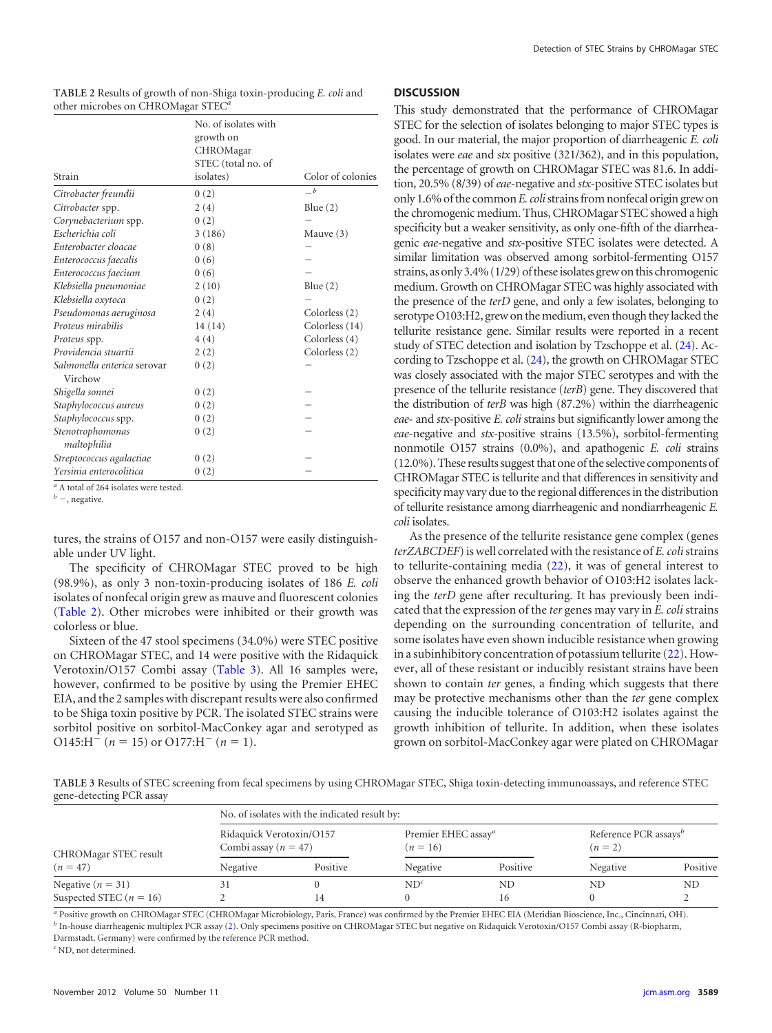|                                        | No. of isolates with |                   |
|----------------------------------------|----------------------|-------------------|
|                                        | growth on            |                   |
|                                        | CHROMagar            |                   |
|                                        | STEC (total no. of   |                   |
| Strain                                 | isolates)            | Color of colonies |
| Citrobacter freundii                   | 0(2)                 | $-b$              |
| Citrobacter spp.                       | 2(4)                 | Blue $(2)$        |
| Corynebacterium spp.                   | 0(2)                 |                   |
| Escherichia coli                       | 3(186)               | Mauve $(3)$       |
| Enterobacter cloacae                   | 0(8)                 |                   |
| Enterococcus faecalis                  | 0(6)                 |                   |
| Enterococcus faecium                   | 0(6)                 |                   |
| Klebsiella pneumoniae                  | 2(10)                | Blue $(2)$        |
| Klebsiella oxytoca                     | 0(2)                 |                   |
| Pseudomonas aeruginosa                 | 2(4)                 | Colorless (2)     |
| Proteus mirabilis                      | 14 (14)              | Colorless (14)    |
| Proteus spp.                           | 4(4)                 | Colorless (4)     |
| Providencia stuartii                   | 2(2)                 | Colorless (2)     |
| Salmonella enterica serovar<br>Virchow | 0(2)                 |                   |
| Shigella sonnei                        | 0(2)                 |                   |
| Staphylococcus aureus                  | 0(2)                 |                   |
| Staphylococcus spp.                    | 0(2)                 |                   |
| Stenotrophomonas<br>maltophilia        | 0(2)                 |                   |
| Streptococcus agalactiae               | 0(2)                 |                   |
| Yersinia enterocolitica                | 0(2)                 |                   |

<span id="page-3-0"></span>**TABLE 2** Results of growth of non-Shiga toxin-producing *E. coli* and other microbes on CHROMagar STEC*<sup>a</sup>*

*<sup>a</sup>* A total of 264 isolates were tested.

 *–, negative.* 

tures, the strains of O157 and non-O157 were easily distinguishable under UV light.

The specificity of CHROMagar STEC proved to be high (98.9%), as only 3 non-toxin-producing isolates of 186 *E. coli* isolates of nonfecal origin grew as mauve and fluorescent colonies [\(Table 2\)](#page-3-0). Other microbes were inhibited or their growth was colorless or blue.

Sixteen of the 47 stool specimens (34.0%) were STEC positive on CHROMagar STEC, and 14 were positive with the Ridaquick Verotoxin/O157 Combi assay [\(Table 3\)](#page-3-1). All 16 samples were, however, confirmed to be positive by using the Premier EHEC EIA, and the 2 samples with discrepant results were also confirmed to be Shiga toxin positive by PCR. The isolated STEC strains were sorbitol positive on sorbitol-MacConkey agar and serotyped as  $O145:H^-(n=15)$  or  $O177:H^-(n=1)$ .

#### **DISCUSSION**

This study demonstrated that the performance of CHROMagar STEC for the selection of isolates belonging to major STEC types is good. In our material, the major proportion of diarrheagenic *E. coli* isolates were *eae* and *stx* positive (321/362), and in this population, the percentage of growth on CHROMagar STEC was 81.6. In addition, 20.5% (8/39) of*eae*-negative and *stx*-positive STEC isolates but only 1.6% of the common*E. coli*strainsfrom nonfecal origin grew on the chromogenic medium. Thus, CHROMagar STEC showed a high specificity but a weaker sensitivity, as only one-fifth of the diarrheagenic *eae*-negative and *stx*-positive STEC isolates were detected. A similar limitation was observed among sorbitol-fermenting O157 strains, as only 3.4% (1/29) of these isolates grew on this chromogenic medium. Growth on CHROMagar STEC was highly associated with the presence of the *terD* gene, and only a few isolates, belonging to serotype O103:H2, grew on the medium, even though they lacked the tellurite resistance gene. Similar results were reported in a recent study of STEC detection and isolation by Tzschoppe et al. [\(24\)](#page-4-21). According to Tzschoppe et al. [\(24\)](#page-4-21), the growth on CHROMagar STEC was closely associated with the major STEC serotypes and with the presence of the tellurite resistance (*terB*) gene. They discovered that the distribution of *terB* was high (87.2%) within the diarrheagenic *eae*- and *stx*-positive *E. coli* strains but significantly lower among the *eae*-negative and *stx*-positive strains (13.5%), sorbitol-fermenting nonmotile O157 strains (0.0%), and apathogenic *E. coli* strains (12.0%). These results suggest that one of the selective components of CHROMagar STEC is tellurite and that differences in sensitivity and specificity may vary due to the regional differences in the distribution of tellurite resistance among diarrheagenic and nondiarrheagenic *E. coli* isolates.

As the presence of the tellurite resistance gene complex (genes *terZABCDEF*) is well correlated with the resistance of *E. coli*strains to tellurite-containing media [\(22\)](#page-4-1), it was of general interest to observe the enhanced growth behavior of O103:H2 isolates lacking the *terD* gene after reculturing. It has previously been indicated that the expression of the *ter* genes may vary in *E. coli* strains depending on the surrounding concentration of tellurite, and some isolates have even shown inducible resistance when growing in a subinhibitory concentration of potassium tellurite [\(22\)](#page-4-1). However, all of these resistant or inducibly resistant strains have been shown to contain *ter* genes, a finding which suggests that there may be protective mechanisms other than the *ter* gene complex causing the inducible tolerance of O103:H2 isolates against the growth inhibition of tellurite. In addition, when these isolates grown on sorbitol-MacConkey agar were plated on CHROMagar

<span id="page-3-1"></span>**TABLE 3** Results of STEC screening from fecal specimens by using CHROMagar STEC, Shiga toxin-detecting immunoassays, and reference STEC gene-detecting PCR assay

| CHROMagar STEC result       | No. of isolates with the indicated result by:        |          |                                               |          |                                                |          |  |  |  |
|-----------------------------|------------------------------------------------------|----------|-----------------------------------------------|----------|------------------------------------------------|----------|--|--|--|
|                             | Ridaquick Verotoxin/O157<br>Combi assay ( $n = 47$ ) |          | Premier EHEC assay <sup>a</sup><br>$(n = 16)$ |          | Reference PCR assays <sup>b</sup><br>$(n = 2)$ |          |  |  |  |
| $(n = 47)$                  | Negative                                             | Positive | Negative                                      | Positive | Negative                                       | Positive |  |  |  |
| Negative ( $n = 31$ )       |                                                      |          | $ND^{c}$                                      | ND       | ND                                             | ND.      |  |  |  |
| Suspected STEC ( $n = 16$ ) |                                                      |          |                                               | 16       |                                                |          |  |  |  |

*<sup>a</sup>* Positive growth on CHROMagar STEC (CHROMagar Microbiology, Paris, France) was confirmed by the Premier EHEC EIA (Meridian Bioscience, Inc., Cincinnati, OH). *<sup>b</sup>* In-house diarrheagenic multiplex PCR assay [\(2\)](#page-4-12). Only specimens positive on CHROMagar STEC but negative on Ridaquick Verotoxin/O157 Combi assay (R-biopharm, Darmstadt, Germany) were confirmed by the reference PCR method.

*<sup>c</sup>* ND, not determined.